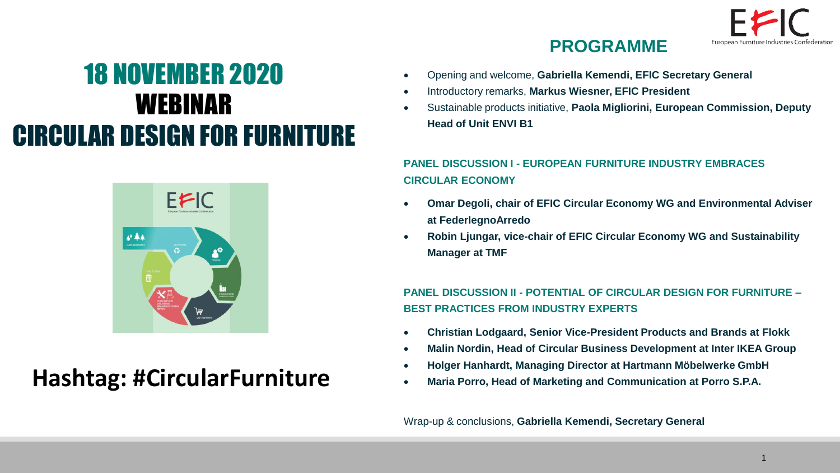

#### **PROGRAMME**

# 18 NOVEMBER 2020 WEBINAR CIRCULAR DESIGN FOR FURNITURE



### **Hashtag: #CircularFurniture**

- Opening and welcome, **Gabriella Kemendi, EFIC Secretary General**
- Introductory remarks, **Markus Wiesner, EFIC President**
- Sustainable products initiative, **Paola Migliorini, European Commission, Deputy Head of Unit ENVI B1**

#### **PANEL DISCUSSION I - EUROPEAN FURNITURE INDUSTRY EMBRACES CIRCULAR ECONOMY**

- **Omar Degoli, chair of EFIC Circular Economy WG and Environmental Adviser at FederlegnoArredo**
- **Robin Ljungar, vice-chair of EFIC Circular Economy WG and Sustainability Manager at TMF**

#### **PANEL DISCUSSION II - POTENTIAL OF CIRCULAR DESIGN FOR FURNITURE – BEST PRACTICES FROM INDUSTRY EXPERTS**

- **Christian Lodgaard, Senior Vice-President Products and Brands at Flokk**
- **Malin Nordin, Head of Circular Business Development at Inter IKEA Group**
- **Holger Hanhardt, Managing Director at Hartmann Möbelwerke GmbH**
- **Maria Porro, Head of Marketing and Communication at Porro S.P.A.**

Wrap-up & conclusions, **Gabriella Kemendi, Secretary General**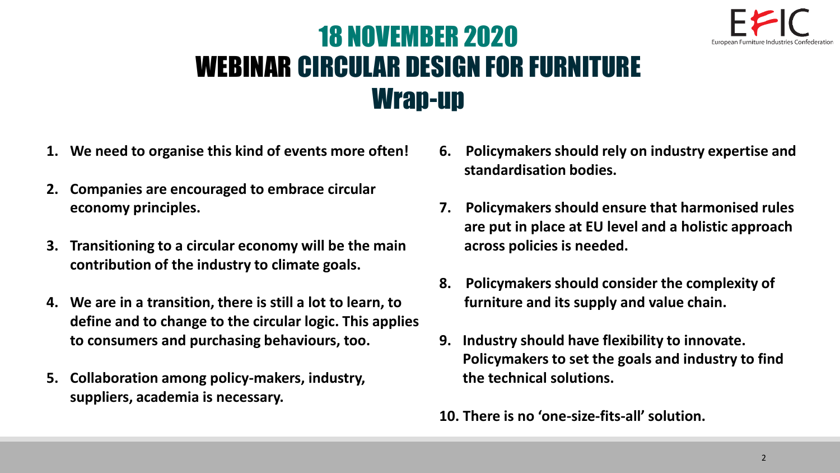

## 18 NOVEMBER 2020 WEBINAR CIRCULAR DESIGN FOR FURNITURE Wrap-up

- **1. We need to organise this kind of events more often!**
- **2. Companies are encouraged to embrace circular economy principles.**
- **3. Transitioning to a circular economy will be the main contribution of the industry to climate goals.**
- **4. We are in a transition, there is still a lot to learn, to define and to change to the circular logic. This applies to consumers and purchasing behaviours, too.**
- **5. Collaboration among policy-makers, industry, suppliers, academia is necessary.**
- **6. Policymakers should rely on industry expertise and standardisation bodies.**
- **7. Policymakers should ensure that harmonised rules are put in place at EU level and a holistic approach across policies is needed.**
- **8. Policymakers should consider the complexity of furniture and its supply and value chain.**
- **9. Industry should have flexibility to innovate. Policymakers to set the goals and industry to find the technical solutions.**

**10. There is no 'one-size-fits-all' solution.**